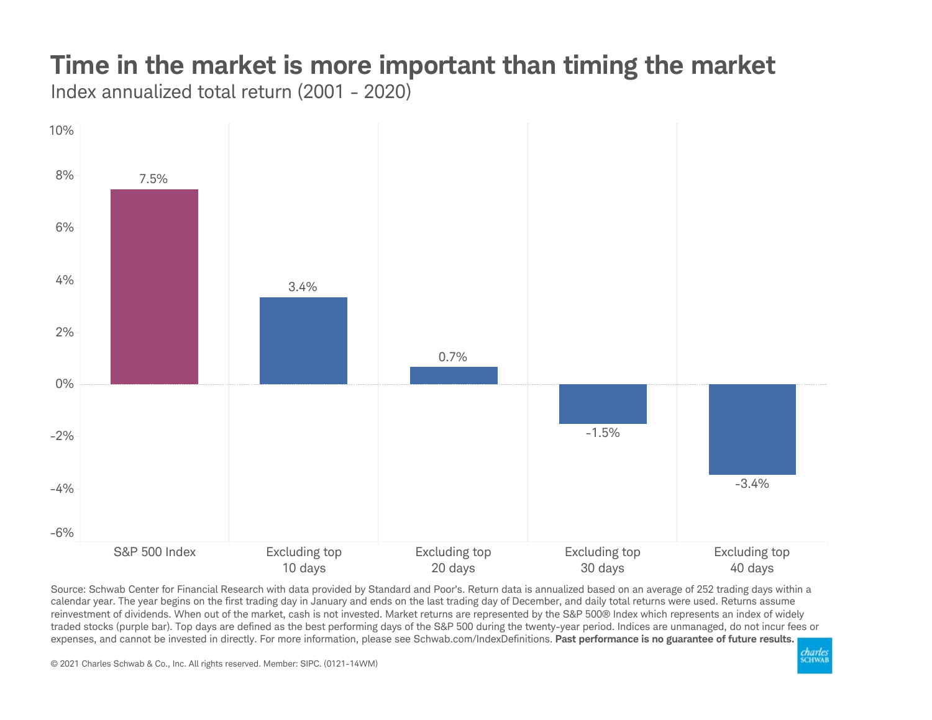## Time in the market is more important than timing the market

Index annualized total return (2001 - 2020)



Source: Schwab Center for Financial Research with data provided by Standard and Poor's. Return data is annualized based on an average of 252 trading days within a calendar year. The year begins on the first trading day in January and ends on the last trading day of December, and daily total returns were used. Returns assume reinvestment of dividends. When out of the market, cash is not invested. Market returns are represented by the S&P 500® Index which represents an index of widely traded stocks (purple bar). Top days are defined as the best performing days of the S&P 500 during the twenty-year period. Indices are unmanaged, do not incur fees or expenses, and cannot be invested in directly. For more information, please see Schwab.com/IndexDefinitions. Past performance is no guarantee of future results.

© 2021 Charles Schwab & Co., Inc. All rights reserved. Member: SIPC. (0121-14WM)